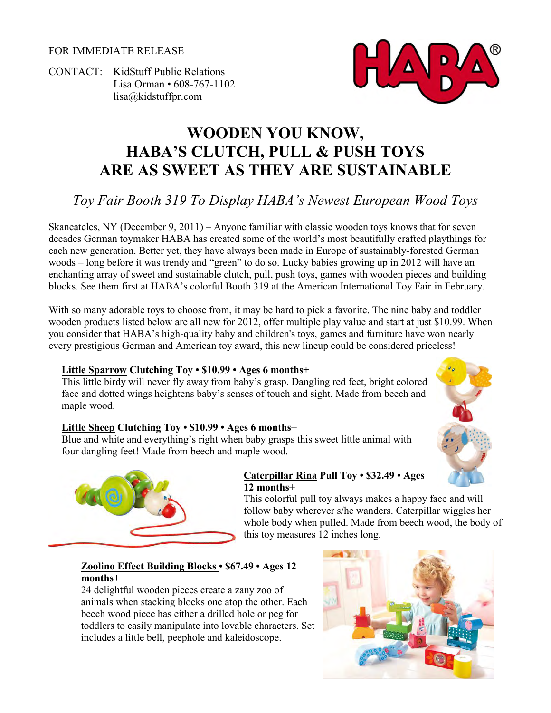FOR IMMEDIATE RELEASE

CONTACT: KidStuff Public Relations Lisa Orman • 608-767-1102 [lisa@kidstuffpr.com](mailto:lisa@kidstuffpr.com)



# **WOODEN YOU KNOW, HABA'S CLUTCH, PULL & PUSH TOYS ARE AS SWEET AS THEY ARE SUSTAINABLE**

# *Toy Fair Booth 319 To Display HABA's Newest European Wood Toys*

Skaneateles, NY (December 9, 2011) – Anyone familiar with classic wooden toys knows that for seven decades German toymaker HABA has created some of the world's most beautifully crafted playthings for each new generation. Better yet, they have always been made in Europe of sustainably-forested German woods – long before it was trendy and "green" to do so. Lucky babies growing up in 2012 will have an enchanting array of sweet and sustainable clutch, pull, push toys, games with wooden pieces and building blocks. See them first at HABA's colorful Booth 319 at the American International Toy Fair in February.

With so many adorable toys to choose from, it may be hard to pick a favorite. The nine baby and toddler wooden products listed below are all new for 2012, offer multiple play value and start at just \$10.99. When you consider that HABA's high-quality baby and children's toys, games and furniture have won nearly every prestigious German and American toy award, this new lineup could be considered priceless!

#### **Little Sparrow Clutching Toy • \$10.99 • Ages 6 months+**

This little birdy will never fly away from baby's grasp. Dangling red feet, bright colored face and dotted wings heightens baby's senses of touch and sight. Made from beech and maple wood.

# **Little Sheep Clutching Toy • \$10.99 • Ages 6 months+**

Blue and white and everything's right when baby grasps this sweet little animal with four dangling feet! Made from beech and maple wood.



#### **Caterpillar Rina Pull Toy • \$32.49 • Ages 12 months+**

This colorful pull toy always makes a happy face and will follow baby wherever s/he wanders. Caterpillar wiggles her whole body when pulled. Made from beech wood, the body of this toy measures 12 inches long.

# **Zoolino Effect Building Blocks • \$67.49 • Ages 12 months+**

24 delightful wooden pieces create a zany zoo of animals when stacking blocks one atop the other. Each beech wood piece has either a drilled hole or peg for toddlers to easily manipulate into lovable characters. Set includes a little bell, peephole and kaleidoscope.